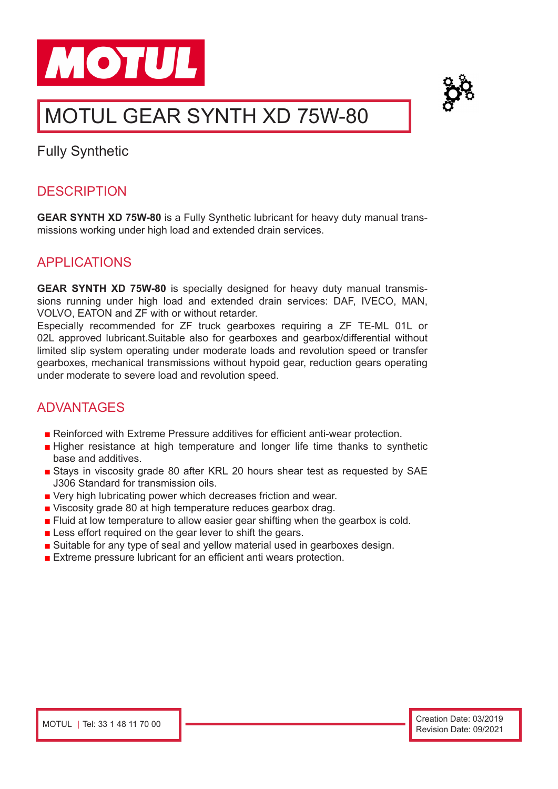



# MOTUL GEAR SYNTH XD 75W-80

Fully Synthetic

# **DESCRIPTION**

**GEAR SYNTH XD 75W-80** is a Fully Synthetic lubricant for heavy duty manual transmissions working under high load and extended drain services.

# APPLICATIONS

**GEAR SYNTH XD 75W-80** is specially designed for heavy duty manual transmissions running under high load and extended drain services: DAF, IVECO, MAN, VOLVO, EATON and ZF with or without retarder.

Especially recommended for ZF truck gearboxes requiring a ZF TE-ML 01L or 02L approved lubricant.Suitable also for gearboxes and gearbox/differential without limited slip system operating under moderate loads and revolution speed or transfer gearboxes, mechanical transmissions without hypoid gear, reduction gears operating under moderate to severe load and revolution speed.

# **ADVANTAGES**

- Reinforced with Extreme Pressure additives for efficient anti-wear protection.
- Higher resistance at high temperature and longer life time thanks to synthetic base and additives.
- Stays in viscosity grade 80 after KRL 20 hours shear test as requested by SAE J306 Standard for transmission oils.
- Very high lubricating power which decreases friction and wear.
- Viscosity grade 80 at high temperature reduces gearbox drag.
- Fluid at low temperature to allow easier gear shifting when the gearbox is cold.
- Less effort required on the gear lever to shift the gears.
- Suitable for any type of seal and yellow material used in gearboxes design.
- Extreme pressure lubricant for an efficient anti wears protection.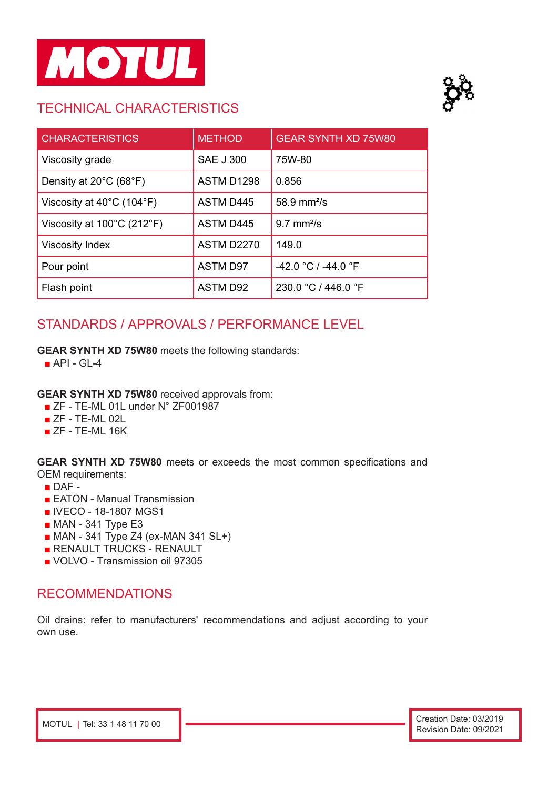

# TECHNICAL CHARACTERISTICS



| <b>CHARACTERISTICS</b>                          | <b>METHOD</b>     | <b>GEAR SYNTH XD 75W80</b> |
|-------------------------------------------------|-------------------|----------------------------|
| Viscosity grade                                 | <b>SAE J 300</b>  | 75W-80                     |
| Density at 20°C (68°F)                          | ASTM D1298        | 0.856                      |
| Viscosity at $40^{\circ}$ C (104 $^{\circ}$ F)  | <b>ASTM D445</b>  | 58.9 mm <sup>2</sup> /s    |
| Viscosity at $100^{\circ}$ C (212 $^{\circ}$ F) | <b>ASTM D445</b>  | $9.7 \text{ mm}^2$ /s      |
| <b>Viscosity Index</b>                          | <b>ASTM D2270</b> | 149.0                      |
| Pour point                                      | <b>ASTM D97</b>   | -42.0 °C / -44.0 °F        |
| Flash point                                     | <b>ASTM D92</b>   | 230.0 °C / 446.0 °F        |

# STANDARDS / APPROVALS / PERFORMANCE LEVEL

### **GEAR SYNTH XD 75W80** meets the following standards:

 $\blacksquare$  API - GL-4

#### **GEAR SYNTH XD 75W80** received approvals from:

- ZF TE-ML 01L under N° ZF001987
- ZF TE-ML 02L
- $ZF TE-ML 16K$

**GEAR SYNTH XD 75W80** meets or exceeds the most common specifications and OEM requirements:

- $\blacksquare$  DAF -
- EATON Manual Transmission
- IVECO 18-1807 MGS1
- MAN 341 Type E3
- MAN 341 Type Z4 (ex-MAN 341 SL+)
- RENAULT TRUCKS RENAULT
- VOLVO Transmission oil 97305

### RECOMMENDATIONS

Oil drains: refer to manufacturers' recommendations and adjust according to your own use.